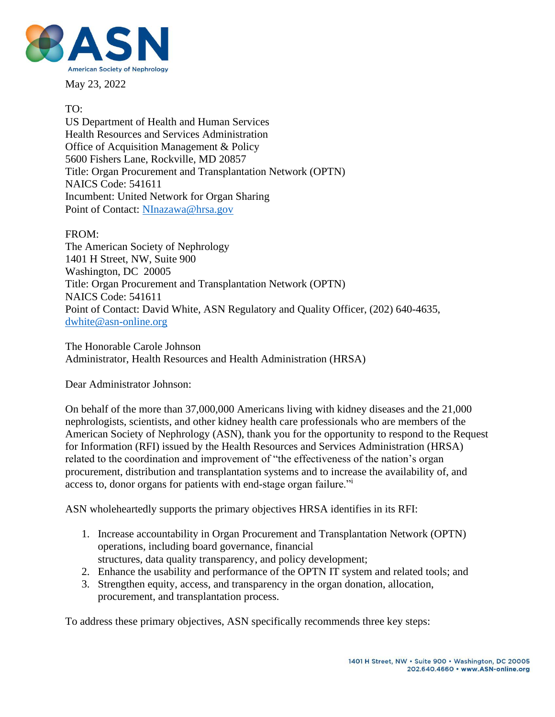

May 23, 2022

# TO:

US Department of Health and Human Services Health Resources and Services Administration Office of Acquisition Management & Policy 5600 Fishers Lane, Rockville, MD 20857 Title: Organ Procurement and Transplantation Network (OPTN) NAICS Code: 541611 Incumbent: United Network for Organ Sharing Point of Contact: [NInazawa@hrsa.gov](mailto:NInazawa@hrsa.gov)

FROM: The American Society of Nephrology 1401 H Street, NW, Suite 900

Washington, DC 20005 Title: Organ Procurement and Transplantation Network (OPTN) NAICS Code: 541611 Point of Contact: David White, ASN Regulatory and Quality Officer, (202) 640-4635, [dwhite@asn-online.org](mailto:dwhite@asn-online.org)

The Honorable Carole Johnson Administrator, Health Resources and Health Administration (HRSA)

Dear Administrator Johnson:

On behalf of the more than 37,000,000 Americans living with kidney diseases and the 21,000 nephrologists, scientists, and other kidney health care professionals who are members of the American Society of Nephrology (ASN), thank you for the opportunity to respond to the Request for Information (RFI) issued by the Health Resources and Services Administration (HRSA) related to the coordination and improvement of "the effectiveness of the nation's organ procurement, distribution and transplantation systems and to increase the availability of, and access to, donor organs for patients with end-stage organ failure."<sup>i</sup>

ASN wholeheartedly supports the primary objectives HRSA identifies in its RFI:

- 1. Increase accountability in Organ Procurement and Transplantation Network (OPTN) operations, including board governance, financial structures, data quality transparency, and policy development;
- 2. Enhance the usability and performance of the OPTN IT system and related tools; and
- 3. Strengthen equity, access, and transparency in the organ donation, allocation, procurement, and transplantation process.

To address these primary objectives, ASN specifically recommends three key steps: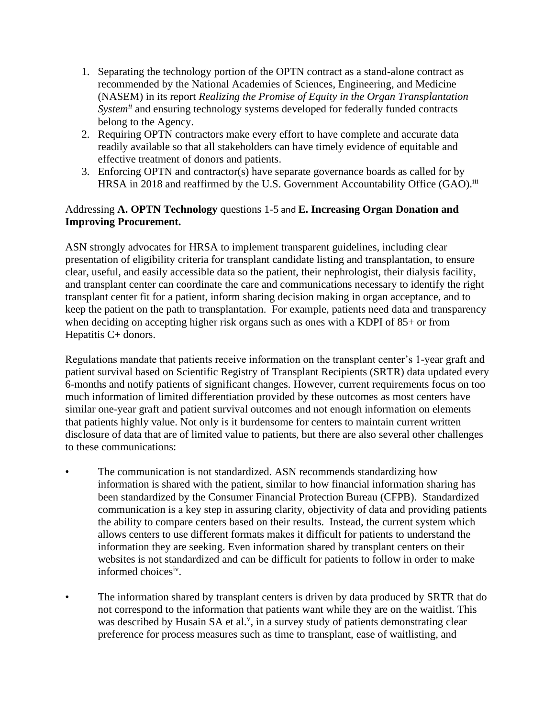- 1. Separating the technology portion of the OPTN contract as a stand-alone contract as recommended by the National Academies of Sciences, Engineering, and Medicine (NASEM) in its report *Realizing the Promise of Equity in the Organ Transplantation Systemii* and ensuring technology systems developed for federally funded contracts belong to the Agency.
- 2. Requiring OPTN contractors make every effort to have complete and accurate data readily available so that all stakeholders can have timely evidence of equitable and effective treatment of donors and patients.
- 3. Enforcing OPTN and contractor(s) have separate governance boards as called for by HRSA in 2018 and reaffirmed by the U.S. Government Accountability Office (GAO).<sup>iii</sup>

## Addressing **A. OPTN Technology** questions 1-5 and **E. Increasing Organ Donation and Improving Procurement.**

ASN strongly advocates for HRSA to implement transparent guidelines, including clear presentation of eligibility criteria for transplant candidate listing and transplantation, to ensure clear, useful, and easily accessible data so the patient, their nephrologist, their dialysis facility, and transplant center can coordinate the care and communications necessary to identify the right transplant center fit for a patient, inform sharing decision making in organ acceptance, and to keep the patient on the path to transplantation. For example, patients need data and transparency when deciding on accepting higher risk organs such as ones with a KDPI of 85+ or from Hepatitis C+ donors.

Regulations mandate that patients receive information on the transplant center's 1-year graft and patient survival based on Scientific Registry of Transplant Recipients (SRTR) data updated every 6-months and notify patients of significant changes. However, current requirements focus on too much information of limited differentiation provided by these outcomes as most centers have similar one-year graft and patient survival outcomes and not enough information on elements that patients highly value. Not only is it burdensome for centers to maintain current written disclosure of data that are of limited value to patients, but there are also several other challenges to these communications:

- The communication is not standardized. ASN recommends standardizing how information is shared with the patient, similar to how financial information sharing has been standardized by the Consumer Financial Protection Bureau (CFPB). Standardized communication is a key step in assuring clarity, objectivity of data and providing patients the ability to compare centers based on their results. Instead, the current system which allows centers to use different formats makes it difficult for patients to understand the information they are seeking. Even information shared by transplant centers on their websites is not standardized and can be difficult for patients to follow in order to make informed choices<sup>iv</sup>.
- The information shared by transplant centers is driven by data produced by SRTR that do not correspond to the information that patients want while they are on the waitlist. This was described by Husain SA et al.<sup>v</sup>, in a survey study of patients demonstrating clear preference for process measures such as time to transplant, ease of waitlisting, and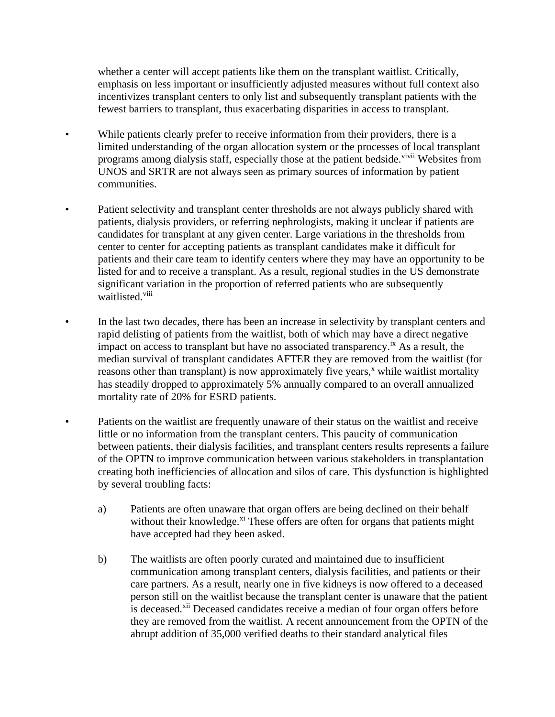whether a center will accept patients like them on the transplant waitlist. Critically, emphasis on less important or insufficiently adjusted measures without full context also incentivizes transplant centers to only list and subsequently transplant patients with the fewest barriers to transplant, thus exacerbating disparities in access to transplant.

- While patients clearly prefer to receive information from their providers, there is a limited understanding of the organ allocation system or the processes of local transplant programs among dialysis staff, especially those at the patient bedside.<sup>vivii</sup> Websites from UNOS and SRTR are not always seen as primary sources of information by patient communities.
- Patient selectivity and transplant center thresholds are not always publicly shared with patients, dialysis providers, or referring nephrologists, making it unclear if patients are candidates for transplant at any given center. Large variations in the thresholds from center to center for accepting patients as transplant candidates make it difficult for patients and their care team to identify centers where they may have an opportunity to be listed for and to receive a transplant. As a result, regional studies in the US demonstrate significant variation in the proportion of referred patients who are subsequently waitlisted.<sup>viii</sup>
- In the last two decades, there has been an increase in selectivity by transplant centers and rapid delisting of patients from the waitlist, both of which may have a direct negative impact on access to transplant but have no associated transparency.<sup>ix</sup> As a result, the median survival of transplant candidates AFTER they are removed from the waitlist (for reasons other than transplant) is now approximately five years,<sup>x</sup> while waitlist mortality has steadily dropped to approximately 5% annually compared to an overall annualized mortality rate of 20% for ESRD patients.
- Patients on the waitlist are frequently unaware of their status on the waitlist and receive little or no information from the transplant centers. This paucity of communication between patients, their dialysis facilities, and transplant centers results represents a failure of the OPTN to improve communication between various stakeholders in transplantation creating both inefficiencies of allocation and silos of care. This dysfunction is highlighted by several troubling facts:
	- a) Patients are often unaware that organ offers are being declined on their behalf without their knowledge. $x_i$  These offers are often for organs that patients might have accepted had they been asked.
	- b) The waitlists are often poorly curated and maintained due to insufficient communication among transplant centers, dialysis facilities, and patients or their care partners. As a result, nearly one in five kidneys is now offered to a deceased person still on the waitlist because the transplant center is unaware that the patient is deceased.<sup>xii</sup> Deceased candidates receive a median of four organ offers before they are removed from the waitlist. A recent announcement from the OPTN of the abrupt addition of 35,000 verified deaths to their standard analytical files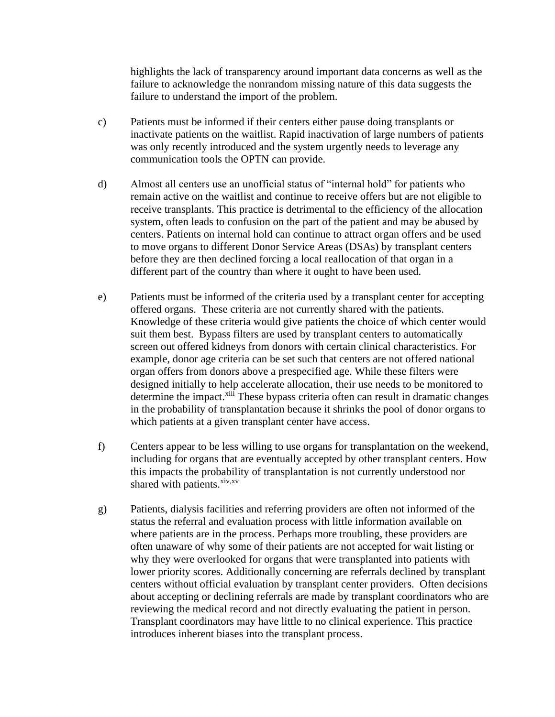highlights the lack of transparency around important data concerns as well as the failure to acknowledge the nonrandom missing nature of this data suggests the failure to understand the import of the problem.

- c) Patients must be informed if their centers either pause doing transplants or inactivate patients on the waitlist. Rapid inactivation of large numbers of patients was only recently introduced and the system urgently needs to leverage any communication tools the OPTN can provide.
- d) Almost all centers use an unofficial status of "internal hold" for patients who remain active on the waitlist and continue to receive offers but are not eligible to receive transplants. This practice is detrimental to the efficiency of the allocation system, often leads to confusion on the part of the patient and may be abused by centers. Patients on internal hold can continue to attract organ offers and be used to move organs to different Donor Service Areas (DSAs) by transplant centers before they are then declined forcing a local reallocation of that organ in a different part of the country than where it ought to have been used.
- e) Patients must be informed of the criteria used by a transplant center for accepting offered organs. These criteria are not currently shared with the patients. Knowledge of these criteria would give patients the choice of which center would suit them best. Bypass filters are used by transplant centers to automatically screen out offered kidneys from donors with certain clinical characteristics. For example, donor age criteria can be set such that centers are not offered national organ offers from donors above a prespecified age. While these filters were designed initially to help accelerate allocation, their use needs to be monitored to determine the impact.<sup>xiii</sup> These bypass criteria often can result in dramatic changes in the probability of transplantation because it shrinks the pool of donor organs to which patients at a given transplant center have access.
- f) Centers appear to be less willing to use organs for transplantation on the weekend, including for organs that are eventually accepted by other transplant centers. How this impacts the probability of transplantation is not currently understood nor shared with patients.<sup>xiv,xv</sup>
- g) Patients, dialysis facilities and referring providers are often not informed of the status the referral and evaluation process with little information available on where patients are in the process. Perhaps more troubling, these providers are often unaware of why some of their patients are not accepted for wait listing or why they were overlooked for organs that were transplanted into patients with lower priority scores. Additionally concerning are referrals declined by transplant centers without official evaluation by transplant center providers. Often decisions about accepting or declining referrals are made by transplant coordinators who are reviewing the medical record and not directly evaluating the patient in person. Transplant coordinators may have little to no clinical experience. This practice introduces inherent biases into the transplant process.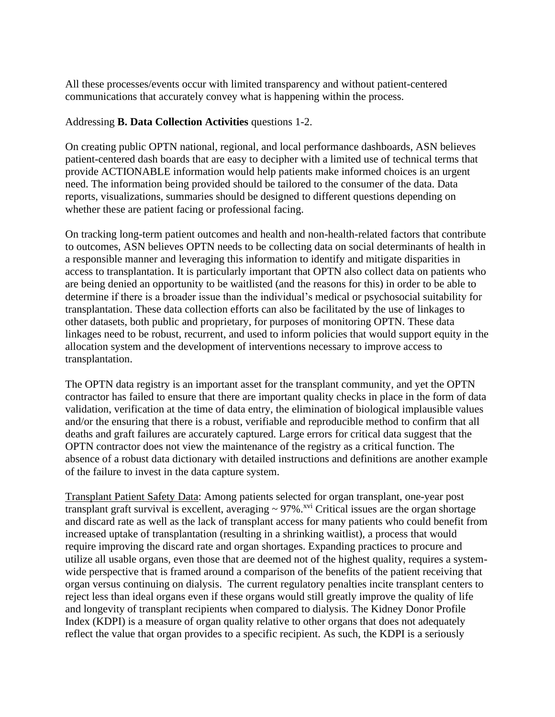All these processes/events occur with limited transparency and without patient-centered communications that accurately convey what is happening within the process.

### Addressing **B. Data Collection Activities** questions 1-2.

On creating public OPTN national, regional, and local performance dashboards, ASN believes patient-centered dash boards that are easy to decipher with a limited use of technical terms that provide ACTIONABLE information would help patients make informed choices is an urgent need. The information being provided should be tailored to the consumer of the data. Data reports, visualizations, summaries should be designed to different questions depending on whether these are patient facing or professional facing.

On tracking long-term patient outcomes and health and non-health-related factors that contribute to outcomes, ASN believes OPTN needs to be collecting data on social determinants of health in a responsible manner and leveraging this information to identify and mitigate disparities in access to transplantation. It is particularly important that OPTN also collect data on patients who are being denied an opportunity to be waitlisted (and the reasons for this) in order to be able to determine if there is a broader issue than the individual's medical or psychosocial suitability for transplantation. These data collection efforts can also be facilitated by the use of linkages to other datasets, both public and proprietary, for purposes of monitoring OPTN. These data linkages need to be robust, recurrent, and used to inform policies that would support equity in the allocation system and the development of interventions necessary to improve access to transplantation.

The OPTN data registry is an important asset for the transplant community, and yet the OPTN contractor has failed to ensure that there are important quality checks in place in the form of data validation, verification at the time of data entry, the elimination of biological implausible values and/or the ensuring that there is a robust, verifiable and reproducible method to confirm that all deaths and graft failures are accurately captured. Large errors for critical data suggest that the OPTN contractor does not view the maintenance of the registry as a critical function. The absence of a robust data dictionary with detailed instructions and definitions are another example of the failure to invest in the data capture system.

Transplant Patient Safety Data: Among patients selected for organ transplant, one-year post transplant graft survival is excellent, averaging  $\sim$  97%.<sup>xvi</sup> Critical issues are the organ shortage and discard rate as well as the lack of transplant access for many patients who could benefit from increased uptake of transplantation (resulting in a shrinking waitlist), a process that would require improving the discard rate and organ shortages. Expanding practices to procure and utilize all usable organs, even those that are deemed not of the highest quality, requires a systemwide perspective that is framed around a comparison of the benefits of the patient receiving that organ versus continuing on dialysis. The current regulatory penalties incite transplant centers to reject less than ideal organs even if these organs would still greatly improve the quality of life and longevity of transplant recipients when compared to dialysis. The Kidney Donor Profile Index (KDPI) is a measure of organ quality relative to other organs that does not adequately reflect the value that organ provides to a specific recipient. As such, the KDPI is a seriously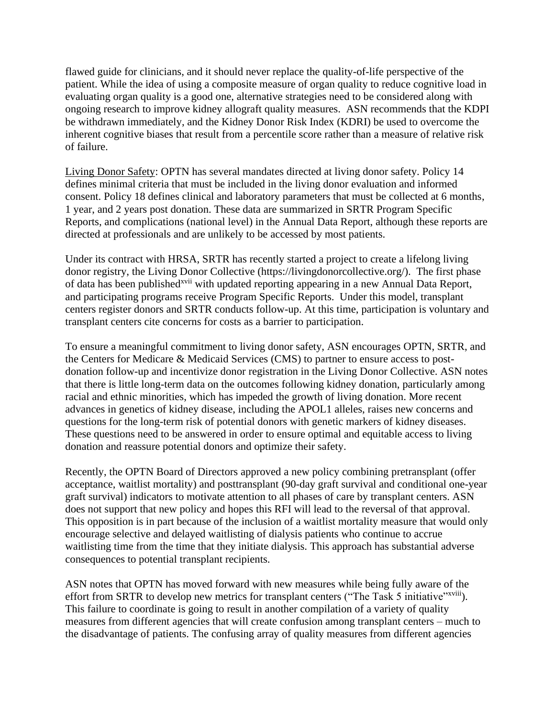flawed guide for clinicians, and it should never replace the quality-of-life perspective of the patient. While the idea of using a composite measure of organ quality to reduce cognitive load in evaluating organ quality is a good one, alternative strategies need to be considered along with ongoing research to improve kidney allograft quality measures. ASN recommends that the KDPI be withdrawn immediately, and the Kidney Donor Risk Index (KDRI) be used to overcome the inherent cognitive biases that result from a percentile score rather than a measure of relative risk of failure.

Living Donor Safety: OPTN has several mandates directed at living donor safety. Policy 14 defines minimal criteria that must be included in the living donor evaluation and informed consent. Policy 18 defines clinical and laboratory parameters that must be collected at 6 months, 1 year, and 2 years post donation. These data are summarized in SRTR Program Specific Reports, and complications (national level) in the Annual Data Report, although these reports are directed at professionals and are unlikely to be accessed by most patients.

Under its contract with HRSA, SRTR has recently started a project to create a lifelong living donor registry, the Living Donor Collective (https://livingdonorcollective.org/). The first phase of data has been published<sup>xvii</sup> with updated reporting appearing in a new Annual Data Report, and participating programs receive Program Specific Reports. Under this model, transplant centers register donors and SRTR conducts follow-up. At this time, participation is voluntary and transplant centers cite concerns for costs as a barrier to participation.

To ensure a meaningful commitment to living donor safety, ASN encourages OPTN, SRTR, and the Centers for Medicare & Medicaid Services (CMS) to partner to ensure access to postdonation follow-up and incentivize donor registration in the Living Donor Collective. ASN notes that there is little long-term data on the outcomes following kidney donation, particularly among racial and ethnic minorities, which has impeded the growth of living donation. More recent advances in genetics of kidney disease, including the APOL1 alleles, raises new concerns and questions for the long-term risk of potential donors with genetic markers of kidney diseases. These questions need to be answered in order to ensure optimal and equitable access to living donation and reassure potential donors and optimize their safety.

Recently, the OPTN Board of Directors approved a new policy combining pretransplant (offer acceptance, waitlist mortality) and posttransplant (90-day graft survival and conditional one-year graft survival) indicators to motivate attention to all phases of care by transplant centers. ASN does not support that new policy and hopes this RFI will lead to the reversal of that approval. This opposition is in part because of the inclusion of a waitlist mortality measure that would only encourage selective and delayed waitlisting of dialysis patients who continue to accrue waitlisting time from the time that they initiate dialysis. This approach has substantial adverse consequences to potential transplant recipients.

ASN notes that OPTN has moved forward with new measures while being fully aware of the effort from SRTR to develop new metrics for transplant centers ("The Task 5 initiative"<sup>xviii</sup>). This failure to coordinate is going to result in another compilation of a variety of quality measures from different agencies that will create confusion among transplant centers – much to the disadvantage of patients. The confusing array of quality measures from different agencies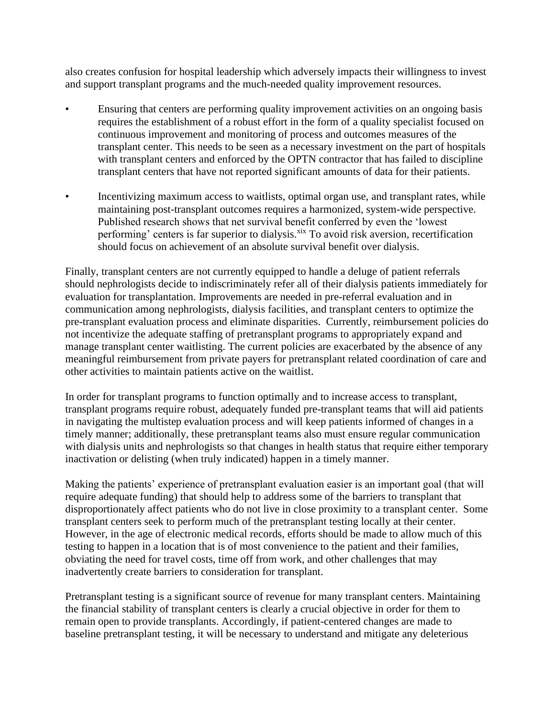also creates confusion for hospital leadership which adversely impacts their willingness to invest and support transplant programs and the much-needed quality improvement resources.

- Ensuring that centers are performing quality improvement activities on an ongoing basis requires the establishment of a robust effort in the form of a quality specialist focused on continuous improvement and monitoring of process and outcomes measures of the transplant center. This needs to be seen as a necessary investment on the part of hospitals with transplant centers and enforced by the OPTN contractor that has failed to discipline transplant centers that have not reported significant amounts of data for their patients.
- Incentivizing maximum access to waitlists, optimal organ use, and transplant rates, while maintaining post-transplant outcomes requires a harmonized, system-wide perspective. Published research shows that net survival benefit conferred by even the 'lowest performing' centers is far superior to dialysis.<sup>xix</sup> To avoid risk aversion, recertification should focus on achievement of an absolute survival benefit over dialysis.

Finally, transplant centers are not currently equipped to handle a deluge of patient referrals should nephrologists decide to indiscriminately refer all of their dialysis patients immediately for evaluation for transplantation. Improvements are needed in pre-referral evaluation and in communication among nephrologists, dialysis facilities, and transplant centers to optimize the pre-transplant evaluation process and eliminate disparities. Currently, reimbursement policies do not incentivize the adequate staffing of pretransplant programs to appropriately expand and manage transplant center waitlisting. The current policies are exacerbated by the absence of any meaningful reimbursement from private payers for pretransplant related coordination of care and other activities to maintain patients active on the waitlist.

In order for transplant programs to function optimally and to increase access to transplant, transplant programs require robust, adequately funded pre-transplant teams that will aid patients in navigating the multistep evaluation process and will keep patients informed of changes in a timely manner; additionally, these pretransplant teams also must ensure regular communication with dialysis units and nephrologists so that changes in health status that require either temporary inactivation or delisting (when truly indicated) happen in a timely manner.

Making the patients' experience of pretransplant evaluation easier is an important goal (that will require adequate funding) that should help to address some of the barriers to transplant that disproportionately affect patients who do not live in close proximity to a transplant center. Some transplant centers seek to perform much of the pretransplant testing locally at their center. However, in the age of electronic medical records, efforts should be made to allow much of this testing to happen in a location that is of most convenience to the patient and their families, obviating the need for travel costs, time off from work, and other challenges that may inadvertently create barriers to consideration for transplant.

Pretransplant testing is a significant source of revenue for many transplant centers. Maintaining the financial stability of transplant centers is clearly a crucial objective in order for them to remain open to provide transplants. Accordingly, if patient-centered changes are made to baseline pretransplant testing, it will be necessary to understand and mitigate any deleterious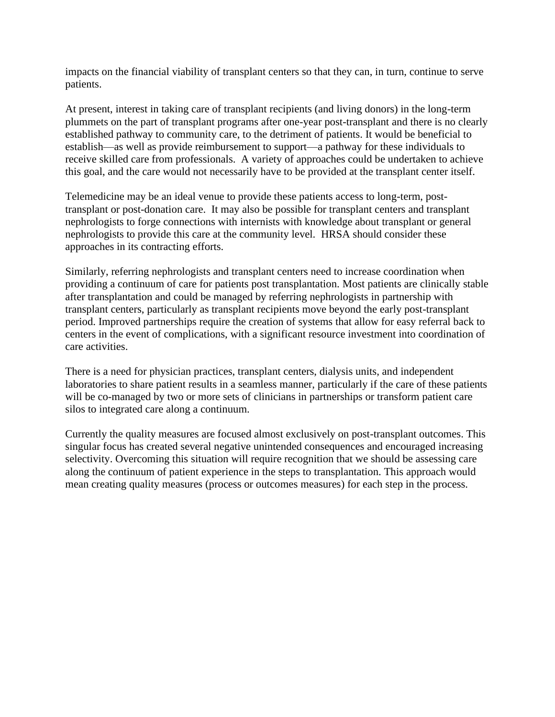impacts on the financial viability of transplant centers so that they can, in turn, continue to serve patients.

At present, interest in taking care of transplant recipients (and living donors) in the long-term plummets on the part of transplant programs after one-year post-transplant and there is no clearly established pathway to community care, to the detriment of patients. It would be beneficial to establish—as well as provide reimbursement to support—a pathway for these individuals to receive skilled care from professionals. A variety of approaches could be undertaken to achieve this goal, and the care would not necessarily have to be provided at the transplant center itself.

Telemedicine may be an ideal venue to provide these patients access to long-term, posttransplant or post-donation care. It may also be possible for transplant centers and transplant nephrologists to forge connections with internists with knowledge about transplant or general nephrologists to provide this care at the community level. HRSA should consider these approaches in its contracting efforts.

Similarly, referring nephrologists and transplant centers need to increase coordination when providing a continuum of care for patients post transplantation. Most patients are clinically stable after transplantation and could be managed by referring nephrologists in partnership with transplant centers, particularly as transplant recipients move beyond the early post-transplant period. Improved partnerships require the creation of systems that allow for easy referral back to centers in the event of complications, with a significant resource investment into coordination of care activities.

There is a need for physician practices, transplant centers, dialysis units, and independent laboratories to share patient results in a seamless manner, particularly if the care of these patients will be co-managed by two or more sets of clinicians in partnerships or transform patient care silos to integrated care along a continuum.

Currently the quality measures are focused almost exclusively on post-transplant outcomes. This singular focus has created several negative unintended consequences and encouraged increasing selectivity. Overcoming this situation will require recognition that we should be assessing care along the continuum of patient experience in the steps to transplantation. This approach would mean creating quality measures (process or outcomes measures) for each step in the process.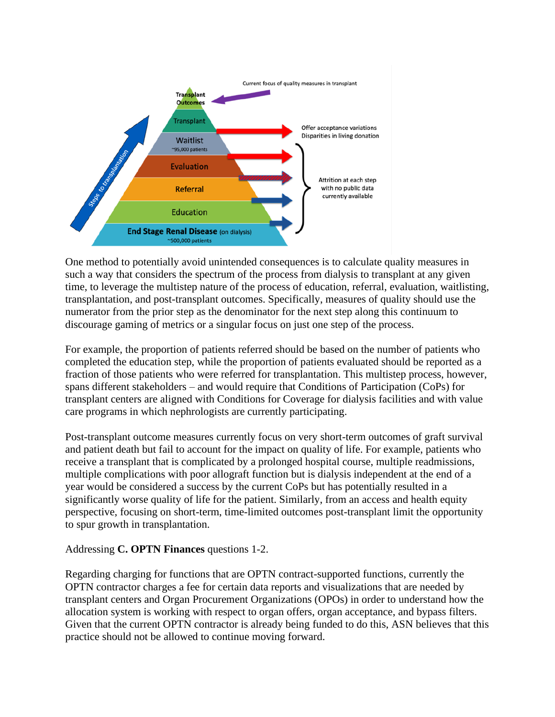

One method to potentially avoid unintended consequences is to calculate quality measures in such a way that considers the spectrum of the process from dialysis to transplant at any given time, to leverage the multistep nature of the process of education, referral, evaluation, waitlisting, transplantation, and post-transplant outcomes. Specifically, measures of quality should use the numerator from the prior step as the denominator for the next step along this continuum to discourage gaming of metrics or a singular focus on just one step of the process.

For example, the proportion of patients referred should be based on the number of patients who completed the education step, while the proportion of patients evaluated should be reported as a fraction of those patients who were referred for transplantation. This multistep process, however, spans different stakeholders – and would require that Conditions of Participation (CoPs) for transplant centers are aligned with Conditions for Coverage for dialysis facilities and with value care programs in which nephrologists are currently participating.

Post-transplant outcome measures currently focus on very short-term outcomes of graft survival and patient death but fail to account for the impact on quality of life. For example, patients who receive a transplant that is complicated by a prolonged hospital course, multiple readmissions, multiple complications with poor allograft function but is dialysis independent at the end of a year would be considered a success by the current CoPs but has potentially resulted in a significantly worse quality of life for the patient. Similarly, from an access and health equity perspective, focusing on short-term, time-limited outcomes post-transplant limit the opportunity to spur growth in transplantation.

#### Addressing **C. OPTN Finances** questions 1-2.

Regarding charging for functions that are OPTN contract-supported functions, currently the OPTN contractor charges a fee for certain data reports and visualizations that are needed by transplant centers and Organ Procurement Organizations (OPOs) in order to understand how the allocation system is working with respect to organ offers, organ acceptance, and bypass filters. Given that the current OPTN contractor is already being funded to do this, ASN believes that this practice should not be allowed to continue moving forward.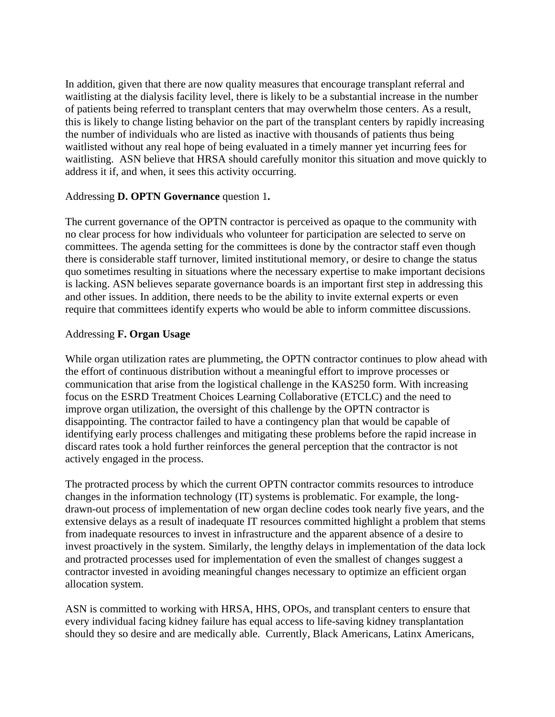In addition, given that there are now quality measures that encourage transplant referral and waitlisting at the dialysis facility level, there is likely to be a substantial increase in the number of patients being referred to transplant centers that may overwhelm those centers. As a result, this is likely to change listing behavior on the part of the transplant centers by rapidly increasing the number of individuals who are listed as inactive with thousands of patients thus being waitlisted without any real hope of being evaluated in a timely manner yet incurring fees for waitlisting. ASN believe that HRSA should carefully monitor this situation and move quickly to address it if, and when, it sees this activity occurring.

### Addressing **D. OPTN Governance** question 1**.**

The current governance of the OPTN contractor is perceived as opaque to the community with no clear process for how individuals who volunteer for participation are selected to serve on committees. The agenda setting for the committees is done by the contractor staff even though there is considerable staff turnover, limited institutional memory, or desire to change the status quo sometimes resulting in situations where the necessary expertise to make important decisions is lacking. ASN believes separate governance boards is an important first step in addressing this and other issues. In addition, there needs to be the ability to invite external experts or even require that committees identify experts who would be able to inform committee discussions.

## Addressing **F. Organ Usage**

While organ utilization rates are plummeting, the OPTN contractor continues to plow ahead with the effort of continuous distribution without a meaningful effort to improve processes or communication that arise from the logistical challenge in the KAS250 form. With increasing focus on the ESRD Treatment Choices Learning Collaborative (ETCLC) and the need to improve organ utilization, the oversight of this challenge by the OPTN contractor is disappointing. The contractor failed to have a contingency plan that would be capable of identifying early process challenges and mitigating these problems before the rapid increase in discard rates took a hold further reinforces the general perception that the contractor is not actively engaged in the process.

The protracted process by which the current OPTN contractor commits resources to introduce changes in the information technology (IT) systems is problematic. For example, the longdrawn-out process of implementation of new organ decline codes took nearly five years, and the extensive delays as a result of inadequate IT resources committed highlight a problem that stems from inadequate resources to invest in infrastructure and the apparent absence of a desire to invest proactively in the system. Similarly, the lengthy delays in implementation of the data lock and protracted processes used for implementation of even the smallest of changes suggest a contractor invested in avoiding meaningful changes necessary to optimize an efficient organ allocation system.

ASN is committed to working with HRSA, HHS, OPOs, and transplant centers to ensure that every individual facing kidney failure has equal access to life-saving kidney transplantation should they so desire and are medically able. Currently, Black Americans, Latinx Americans,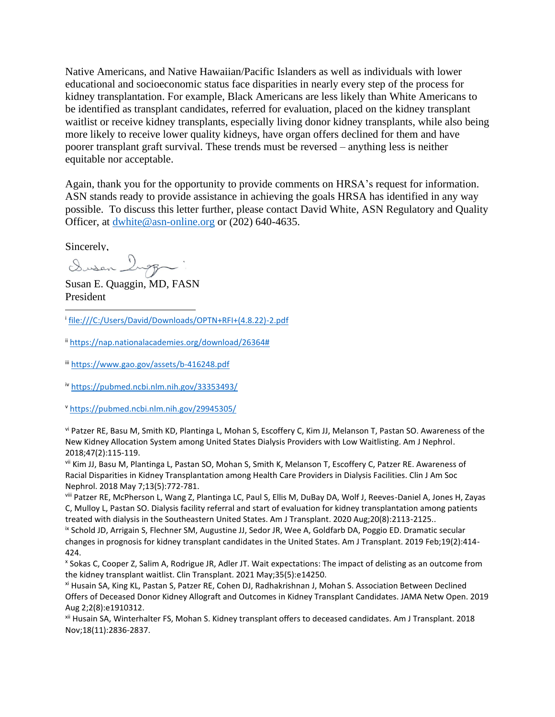Native Americans, and Native Hawaiian/Pacific Islanders as well as individuals with lower educational and socioeconomic status face disparities in nearly every step of the process for kidney transplantation. For example, Black Americans are less likely than White Americans to be identified as transplant candidates, referred for evaluation, placed on the kidney transplant waitlist or receive kidney transplants, especially living donor kidney transplants, while also being more likely to receive lower quality kidneys, have organ offers declined for them and have poorer transplant graft survival. These trends must be reversed – anything less is neither equitable nor acceptable.

Again, thank you for the opportunity to provide comments on HRSA's request for information. ASN stands ready to provide assistance in achieving the goals HRSA has identified in any way possible. To discuss this letter further, please contact David White, ASN Regulatory and Quality Officer, at [dwhite@asn-online.org](mailto:dwhite@asn-online.org) or (202) 640-4635.

Sincerely,<br>Susan Ingg

Susan E. Quaggin, MD, FASN President

i [file:///C:/Users/David/Downloads/OPTN+RFI+\(4.8.22\)-2.pdf](file:///C:/Users/David/Downloads/OPTN+RFI+(4.8.22)-2.pdf)

ii [https://nap.nationalacademies.org/download/26364#](https://nap.nationalacademies.org/download/26364)

iii <https://www.gao.gov/assets/b-416248.pdf>

iv <https://pubmed.ncbi.nlm.nih.gov/33353493/>

<sup>v</sup> <https://pubmed.ncbi.nlm.nih.gov/29945305/>

vi Patzer RE, Basu M, Smith KD, Plantinga L, Mohan S, Escoffery C, Kim JJ, Melanson T, Pastan SO. Awareness of the New Kidney Allocation System among United States Dialysis Providers with Low Waitlisting. Am J Nephrol. 2018;47(2):115-119.

vii Kim JJ, Basu M, Plantinga L, Pastan SO, Mohan S, Smith K, Melanson T, Escoffery C, Patzer RE. Awareness of Racial Disparities in Kidney Transplantation among Health Care Providers in Dialysis Facilities. Clin J Am Soc Nephrol. 2018 May 7;13(5):772-781.

viii Patzer RE, McPherson L, Wang Z, Plantinga LC, Paul S, Ellis M, DuBay DA, Wolf J, Reeves-Daniel A, Jones H, Zayas C, Mulloy L, Pastan SO. Dialysis facility referral and start of evaluation for kidney transplantation among patients treated with dialysis in the Southeastern United States. Am J Transplant. 2020 Aug;20(8):2113-2125..

ix Schold JD, Arrigain S, Flechner SM, Augustine JJ, Sedor JR, Wee A, Goldfarb DA, Poggio ED. Dramatic secular changes in prognosis for kidney transplant candidates in the United States. Am J Transplant. 2019 Feb;19(2):414- 424.

x Sokas C, Cooper Z, Salim A, Rodrigue JR, Adler JT. Wait expectations: The impact of delisting as an outcome from the kidney transplant waitlist. Clin Transplant. 2021 May;35(5):e14250.

xi Husain SA, King KL, Pastan S, Patzer RE, Cohen DJ, Radhakrishnan J, Mohan S. Association Between Declined Offers of Deceased Donor Kidney Allograft and Outcomes in Kidney Transplant Candidates. JAMA Netw Open. 2019 Aug 2;2(8):e1910312.

xii Husain SA, Winterhalter FS, Mohan S. Kidney transplant offers to deceased candidates. Am J Transplant. 2018 Nov;18(11):2836-2837.